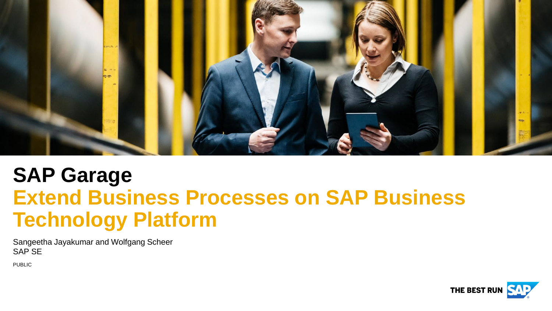

## **SAP Garage Extend Business Processes on SAP Business Technology Platform**

Sangeetha Jayakumar and Wolfgang Scheer SAP SE

PUBLIC

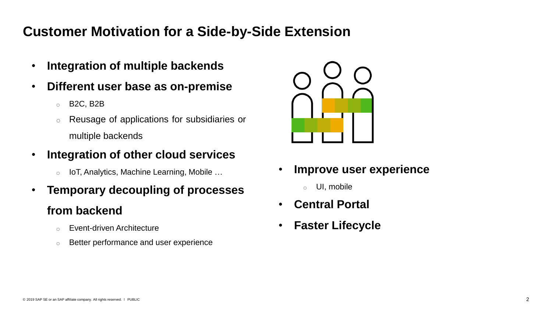## **Customer Motivation for a Side-by-Side Extension**

- **Integration of multiple backends**
- **Different user base as on-premise**
	- o B2C, B2B
	- o Reusage of applications for subsidiaries or multiple backends
- **Integration of other cloud services**
	- o IoT, Analytics, Machine Learning, Mobile …
- **Temporary decoupling of processes from backend**
	- o Event-driven Architecture
	- o Better performance and user experience



- **Improve user experience**
	- o UI, mobile
- **Central Portal**
- **Faster Lifecycle**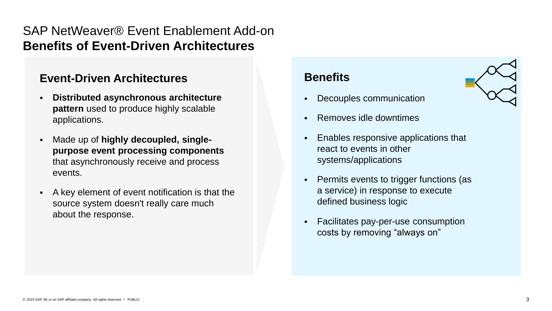## SAP NetWeaver® Event Enablement Add-on **Benefits of Event-Driven Architectures**

#### **Event-Driven Architectures**

- **Distributed asynchronous architecture pattern** used to produce highly scalable applications.
- Made up of **highly decoupled, singlepurpose event processing components**  that asynchronously receive and process events.
- A key element of event notification is that the source system doesn't really care much about the response.

#### **Benefits**

- Decouples communication
- Removes idle downtimes
- **Enables responsive applications that** react to events in other systems/applications
- **•** Permits events to trigger functions (as a service) in response to execute defined business logic
- Facilitates pay-per-use consumption costs by removing "always on"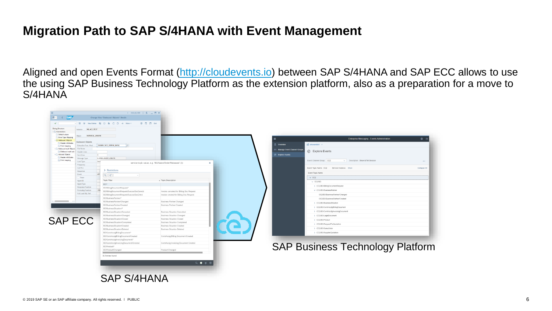## **Migration Path to SAP S/4HANA with Event Management**

Aligned and open Events Format ([http://cloudevents.io\)](http://cloudevents.io/) between SAP S/4HANA and SAP ECC allows to use the using SAP Business Technology Platform as the extension platform, also as a preparation for a move to S/4HANA

| $\vee$ $\Box$ Connections<br>Default values<br>Error Type Mapping | MATERIAL_CREATE<br>Object                      |                                                      |                                                         | $\circ$ $\circ$<br><b>Enterprise Messaging - Events Administration</b> |
|-------------------------------------------------------------------|------------------------------------------------|------------------------------------------------------|---------------------------------------------------------|------------------------------------------------------------------------|
| <b>J</b> <sup>S</sup> Outbound Objects<br>Header Attributes       | Outbound Objects                               |                                                      |                                                         |                                                                        |
| $\Box$ Field mapping                                              | Extraction Func. Mod                           | /ASADEV/ACI_SIMPLE_DATA<br>Īа                        |                                                         | $68$ showandtell $\sim$<br>8 Overview                                  |
| Outbound multi Objects                                            | File Name                                      |                                                      |                                                         | =] Manage Event Channel Groups                                         |
| Outbound multi sub<br>Inbound Objects                             | <b>Header Lines</b>                            |                                                      |                                                         | <b>⊘</b> Explore Events                                                |
| Header Attributes                                                 | Item Lines                                     | $\mathbf{1}$                                         |                                                         | <b><i>S</i></b> Explore Events                                         |
| Field mapping                                                     | Message Type<br>Load Type                      | Z_MARA_EVENT_CREATE<br>Ince                          |                                                         | Event Channel Group: CC2<br>V Description: Show & Tell Session         |
|                                                                   | Frequency                                      |                                                      | service topic value, e.g. 'BO/Sales/Order/Released' (1) |                                                                        |
|                                                                   | Last Run                                       |                                                      |                                                         | Event Topic Name: CC2 Service Instance: Show<br>Collapse All           |
|                                                                   | Sequence                                       | > Restrictions                                       |                                                         |                                                                        |
|                                                                   | Event                                          | API<br>$Q$ $Q^*$<br>- 53                             |                                                         | Event Topic Name                                                       |
|                                                                   | Trace                                          |                                                      |                                                         | $\vee$ CC <sub>2</sub>                                                 |
|                                                                   | Agent ID                                       | <b>Topic Filter</b>                                  | A Topic Description                                     | $\vee$ CC2/BO                                                          |
|                                                                   | Agent Type                                     | BO/*                                                 |                                                         | > CC2/BO/BillingDocumentRequest                                        |
|                                                                   | Response Function<br><b>Formating Function</b> | BO/BillingDocumentRequest/*                          |                                                         | v CC2/BO/BusinessPartner                                               |
|                                                                   | Full Load Obj. Ref.                            | BO/BillingDocumentRequest/SuccssrDocCancld           | Invoice canceled for Billing Doc Request                |                                                                        |
|                                                                   |                                                | BO/BillingDocumentRequest/SuccssrDocCrted            | Invoice created for Billing Doc Request                 | CC2/BO/BusinessPartner/Changed                                         |
|                                                                   |                                                | BO/BusinessPartner/*                                 |                                                         | CC2/BO/BusinessPartner/Created                                         |
|                                                                   |                                                | BO/BusinessPartner/Changed                           | <b>Business Partner Changed</b>                         | > CC2/BO/BusinessSituation                                             |
|                                                                   |                                                | BO/BusinessPartner/Created<br>BO/BusinessSituation/* | <b>Business Partner Created</b>                         | > CC2/BO/ContrAcctgBillingDocument                                     |
|                                                                   |                                                | BO/BusinessSituation/Canceled                        | Business Situation Cancelled                            | > CC2/BO/ContrAcctglnvoicingDocument                                   |
|                                                                   |                                                | BO/BusinessSituation/Changed                         | <b>Business Situation Changed</b>                       | > CC2/BO/LegalDocument                                                 |
|                                                                   |                                                | BO/BusinessSituation/Closed                          | <b>Business Situation Closed</b>                        |                                                                        |
| <b>SAP ECC</b>                                                    |                                                | BO/BusinessSituation/Completed                       | <b>Business Situation Completed</b>                     | > CC2/BO/Product                                                       |
|                                                                   |                                                | BO/BusinessSituation/Created                         | Business Situation Created                              | > CC2/BO/RequestForQuotation                                           |
|                                                                   |                                                | BO/BusinessSituation/Deleted                         | <b>Business Situation Deleted</b>                       | > CC2/BO/SalesOrder                                                    |
|                                                                   |                                                | BO/ContrAcctgBillingDocument/*                       |                                                         | > CC2/BO/SupplierQuotation                                             |
|                                                                   |                                                | BO/ContrAcctgBillingDocument/Created                 | ContrAcctg Billing Document Created                     |                                                                        |
|                                                                   |                                                | BO/ContrAcctgInvoicingDocument/*                     |                                                         |                                                                        |
|                                                                   |                                                | BO/ContrAcctgInvoicingDocument/Created               | ContrAcctg Invoicing Document Created                   |                                                                        |
|                                                                   |                                                | BO/Product/*                                         |                                                         | <b>SAP Business Technology Platform</b>                                |
|                                                                   |                                                | BO/Product/Changed                                   | Product Changed                                         |                                                                        |
|                                                                   |                                                | 31 Entries found                                     |                                                         |                                                                        |
|                                                                   |                                                |                                                      | $Q \bullet \cong \circledast \circledast$               |                                                                        |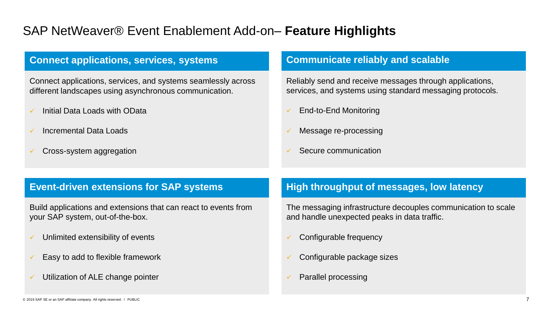### SAP NetWeaver® Event Enablement Add-on– **Feature Highlights**

#### **Connect applications, services, systems**

Connect applications, services, and systems seamlessly across different landscapes using asynchronous communication.

- Initial Data Loads with OData
- Incremental Data Loads
- Cross-system aggregation

#### **Communicate reliably and scalable**

Reliably send and receive messages through applications, services, and systems using standard messaging protocols.

- End-to-End Monitoring
- Message re-processing
- Secure communication

#### **Event-driven extensions for SAP systems**

Build applications and extensions that can react to events from your SAP system, out-of-the-box.

- Unlimited extensibility of events
- Easy to add to flexible framework
- Utilization of ALE change pointer

#### **High throughput of messages, low latency**

The messaging infrastructure decouples communication to scale and handle unexpected peaks in data traffic.

- Configurable frequency
- Configurable package sizes
- Parallel processing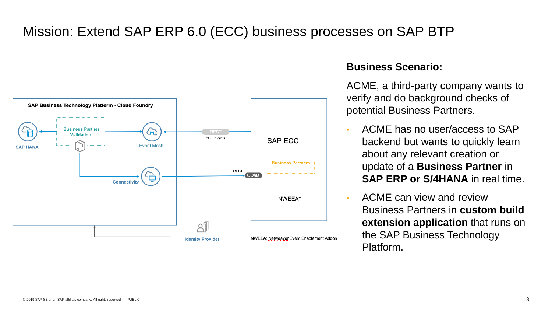## Mission: Extend SAP ERP 6.0 (ECC) business processes on SAP BTP



#### **Business Scenario:**

ACME, a third-party company wants to verify and do background checks of potential Business Partners.

- ACME has no user/access to SAP backend but wants to quickly learn about any relevant creation or update of a **Business Partner** in **SAP ERP or S/4HANA** in real time.
- ACME can view and review Business Partners in **custom build extension application** that runs on the SAP Business Technology Platform.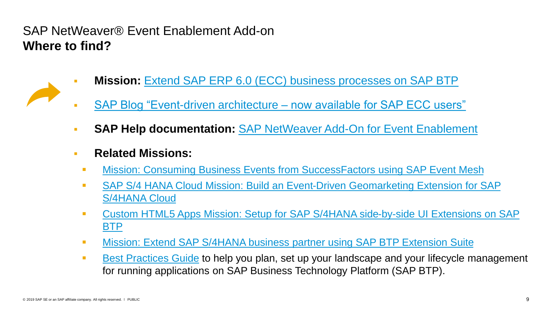## SAP NetWeaver® Event Enablement Add-on **Where to find?**



- **Mission:** [Extend SAP ERP 6.0 \(ECC\) business processes on SAP BTP](https://discovery-center.cloud.sap/missiondetail/3338/3384)
- [SAP Blog "Event-driven architecture –](https://blogs.sap.com/2020/07/01/event-driven-architecture-now-available-for-sap-ecc-users/) now available for SAP ECC users"
- **SAP Help documentation:** [SAP NetWeaver Add-On for Event Enablement](https://help.sap.com/viewer/e966e6c0e61443ebaa0270a4bae4b363/1.0/en-US/3eba827c531344eb879d8e35022d90ba.html)
- **Related Missions:**
	- **■** [Mission: Consuming Business Events from SuccessFactors using SAP Event Mesh](https://discovery-center.cloud.sap/missiondetail/3368/3404)
	- **EXECT AND [SAP S/4 HANA Cloud Mission: Build an Event-Driven Geomarketing Extension for SAP](https://discovery-center.cloud.sap/missiondetail/3156/3192/)** S/4HANA Cloud
	- **EXECUST APPS MISSION: Setup for SAP S/4HANA side-by-side UI Extensions on SAP** BTP
	- **■** [Mission: Extend SAP S/4HANA business partner using SAP BTP Extension Suite](https://discovery-center.cloud.sap/missiondetail/3242/3268/)
	- **EXECT** [Best Practices Guide](https://help.sap.com/doc/463beee05122412db150e08e6f444b7e/Cloud/en-US/Planning_LM.pdf) to help you plan, set up your landscape and your lifecycle management for running applications on SAP Business Technology Platform (SAP BTP).